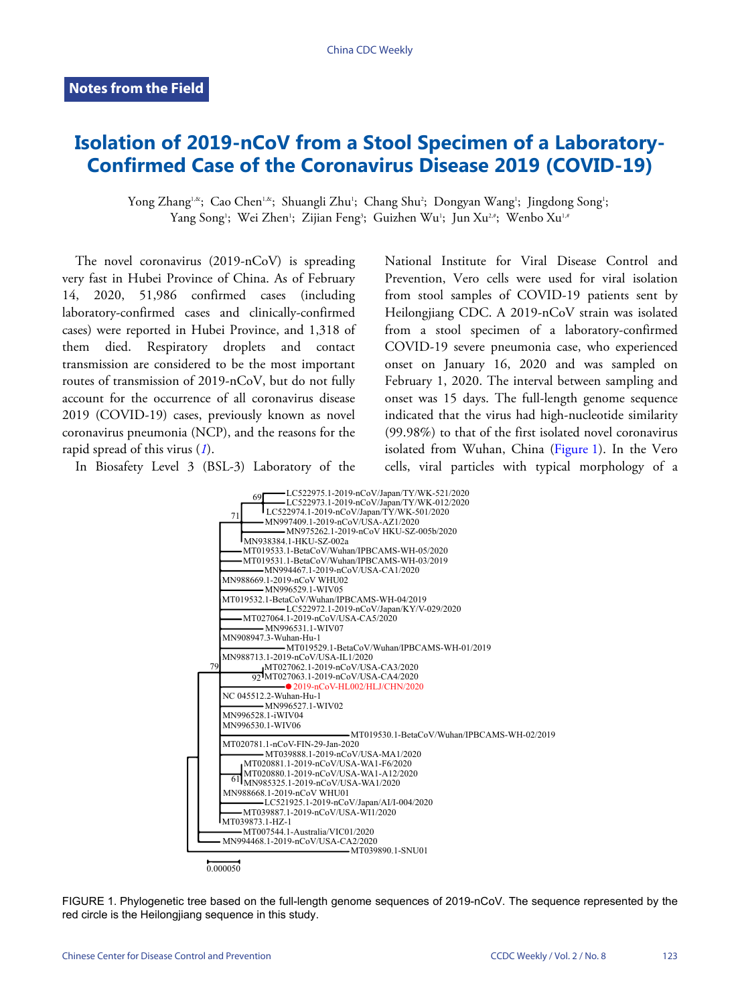## **Isolation of 2019-nCoV from a Stool Specimen of a Laboratory-Confirmed Case of the Coronavirus Disease 2019 (COVID-19)**

Yong Zhang<sup>ı,&</sup>; Cao Chen<sup>ı,&</sup>; Shuangli Zhu'; Chang Shu'; Dongyan Wang'; Jingdong Song'; Yang Song'; Wei Zhen'; Zijian Feng<sup>3</sup>; Guizhen Wu'; Jun Xu<sup>2,#</sup>; Wenbo Xu<sup>1,#</sup>

The novel coronavirus (2019-nCoV) is spreading very fast in Hubei Province of China. As of February 14, 2020, 51,986 confirmed cases (including laboratory-confirmed cases and clinically-confirmed cases) were reported in Hubei Province, and 1,318 of them died. Respiratory droplets and contact transmission are considered to be the most important routes of transmission of 2019-nCoV, but do not fully account for the occurrence of all coronavirus disease 2019 (COVID-19) cases, previously known as novel coronavirus pneumonia ([NC](#page-1-0)P), and the reasons for the rapid spread of this virus (*[1](#page-1-0)*).

<span id="page-0-0"></span>In Biosafety Level 3 (BSL-3) Laboratory of the

National Institute for Viral Disease Control and Prevention, Vero cells were used for viral isolation from stool samples of COVID-19 patients sent by Heilongjiang CDC. A 2019-nCoV strain was isolated from a stool specimen of a laboratory-confirmed COVID-19 severe pneumonia case, who experienced onset on January 16, 2020 and was sampled on February 1, 2020. The interval between sampling and onset was 15 days. The full-length genome sequence indicated that the virus had high-nucleotide similarity (99.98%) to that of the first iso[lated nov](#page-0-0)el coronavirus isolatedfrom Wuhan, China ([Figure 1](#page-0-0)). In the Vero cells, viral particles with typical morphology of a



FIGURE 1. Phylogenetic tree based on the full-length genome sequences of 2019-nCoV. The sequence represented by the red circle is the Heilongjiang sequence in this study.